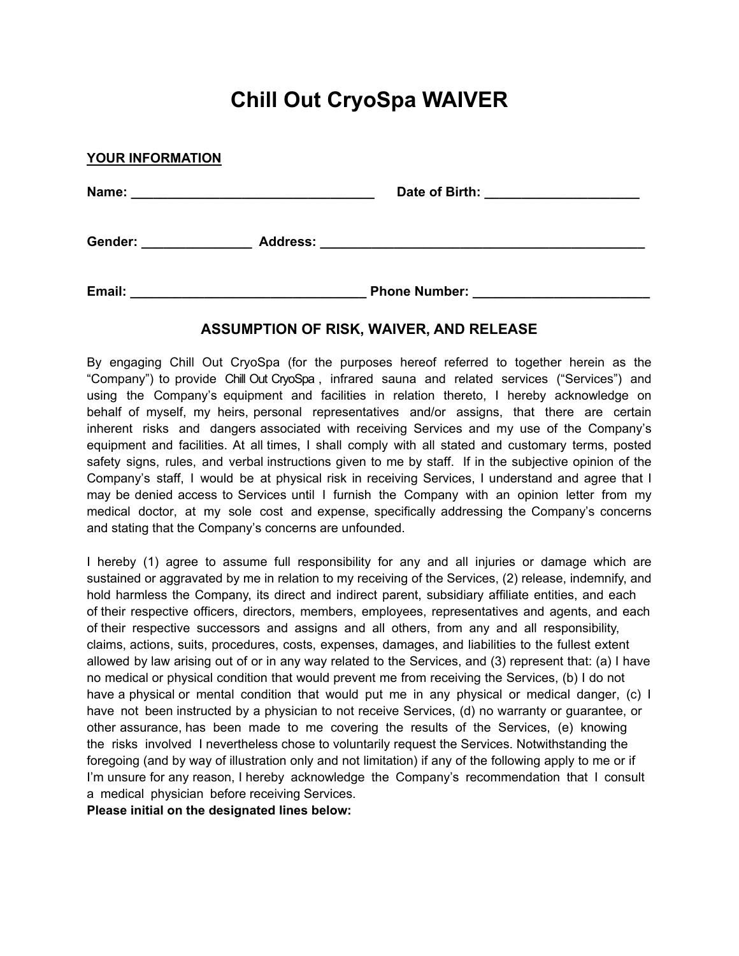# **Chill Out CryoSpa WAIVER**

| <b>YOUR INFORMATION</b> |                 |                                                                                              |  |
|-------------------------|-----------------|----------------------------------------------------------------------------------------------|--|
| Name:                   |                 | Date of Birth:<br>the control of the control of the control of the control of the control of |  |
| Gender:                 | <b>Address:</b> | <u> 1989 - John Stein, Amerikaansk politiker (</u> † 1920)                                   |  |
| Email:                  |                 | <b>Phone Number:</b>                                                                         |  |

## **ASSUMPTION OF RISK, WAIVER, AND RELEASE**

By engaging Chill Out CryoSpa (for the purposes hereof referred to together herein as the "Company") to provide Chill Out CryoSpa , infrared sauna and related services ("Services") and using the Company's equipment and facilities in relation thereto, I hereby acknowledge on behalf of myself, my heirs, personal representatives and/or assigns, that there are certain inherent risks and dangers associated with receiving Services and my use of the Company's equipment and facilities. At all times, I shall comply with all stated and customary terms, posted safety signs, rules, and verbal instructions given to me by staff. If in the subjective opinion of the Company's staff, I would be at physical risk in receiving Services, I understand and agree that I may be denied access to Services until I furnish the Company with an opinion letter from my medical doctor, at my sole cost and expense, specifically addressing the Company's concerns and stating that the Company's concerns are unfounded.

I hereby (1) agree to assume full responsibility for any and all injuries or damage which are sustained or aggravated by me in relation to my receiving of the Services, (2) release, indemnify, and hold harmless the Company, its direct and indirect parent, subsidiary affiliate entities, and each of their respective officers, directors, members, employees, representatives and agents, and each of their respective successors and assigns and all others, from any and all responsibility, claims, actions, suits, procedures, costs, expenses, damages, and liabilities to the fullest extent allowed by law arising out of or in any way related to the Services, and (3) represent that: (a) I have no medical or physical condition that would prevent me from receiving the Services, (b) I do not have a physical or mental condition that would put me in any physical or medical danger, (c) I have not been instructed by a physician to not receive Services, (d) no warranty or guarantee, or other assurance, has been made to me covering the results of the Services, (e) knowing the risks involved I nevertheless chose to voluntarily request the Services. Notwithstanding the foregoing (and by way of illustration only and not limitation) if any of the following apply to me or if I'm unsure for any reason, I hereby acknowledge the Company's recommendation that I consult a medical physician before receiving Services.

**Please initial on the designated lines below:**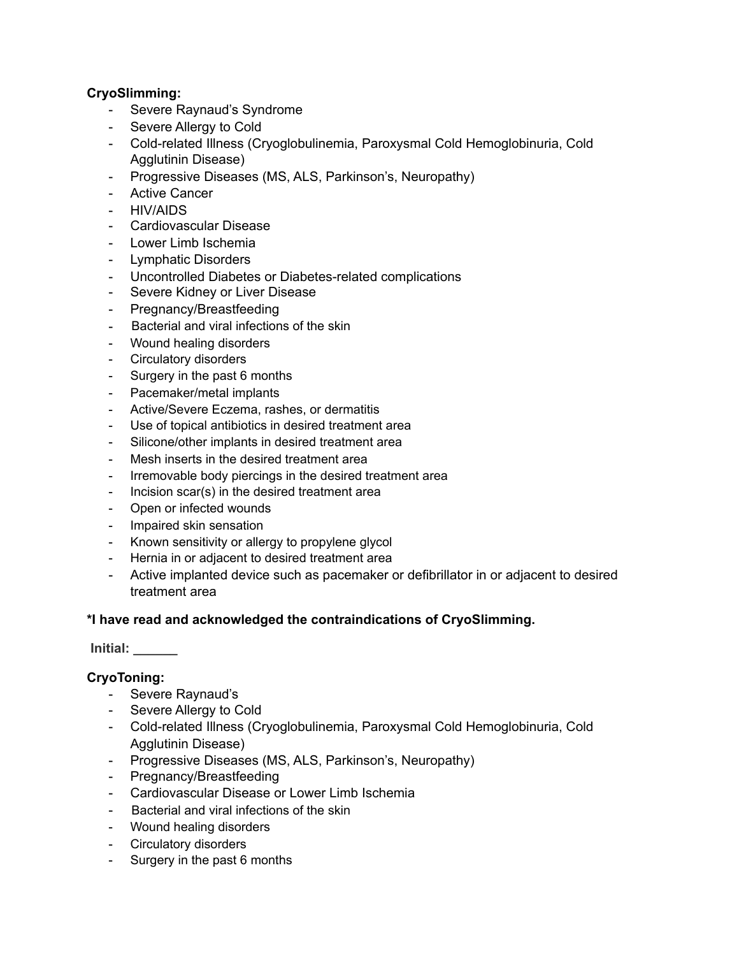## **CryoSlimming:**

- Severe Raynaud's Syndrome
- Severe Allergy to Cold
- Cold-related Illness (Cryoglobulinemia, Paroxysmal Cold Hemoglobinuria, Cold Agglutinin Disease)
- Progressive Diseases (MS, ALS, Parkinson's, Neuropathy)
- Active Cancer
- HIV/AIDS
- Cardiovascular Disease
- Lower Limb Ischemia
- Lymphatic Disorders
- Uncontrolled Diabetes or Diabetes-related complications
- Severe Kidney or Liver Disease
- Pregnancy/Breastfeeding
- Bacterial and viral infections of the skin
- Wound healing disorders
- Circulatory disorders
- Surgery in the past 6 months
- Pacemaker/metal implants
- Active/Severe Eczema, rashes, or dermatitis
- Use of topical antibiotics in desired treatment area
- Silicone/other implants in desired treatment area
- Mesh inserts in the desired treatment area
- Irremovable body piercings in the desired treatment area
- Incision scar(s) in the desired treatment area
- Open or infected wounds
- Impaired skin sensation
- Known sensitivity or allergy to propylene glycol
- Hernia in or adjacent to desired treatment area
- Active implanted device such as pacemaker or defibrillator in or adjacent to desired treatment area

## **\*I have read and acknowledged the contraindications of CryoSlimming.**

## **Initial: \_\_\_\_\_\_**

## **CryoToning:**

- Severe Raynaud's
- Severe Allergy to Cold
- Cold-related Illness (Cryoglobulinemia, Paroxysmal Cold Hemoglobinuria, Cold Agglutinin Disease)
- Progressive Diseases (MS, ALS, Parkinson's, Neuropathy)
- Pregnancy/Breastfeeding
- Cardiovascular Disease or Lower Limb Ischemia
- Bacterial and viral infections of the skin
- Wound healing disorders
- Circulatory disorders
- Surgery in the past 6 months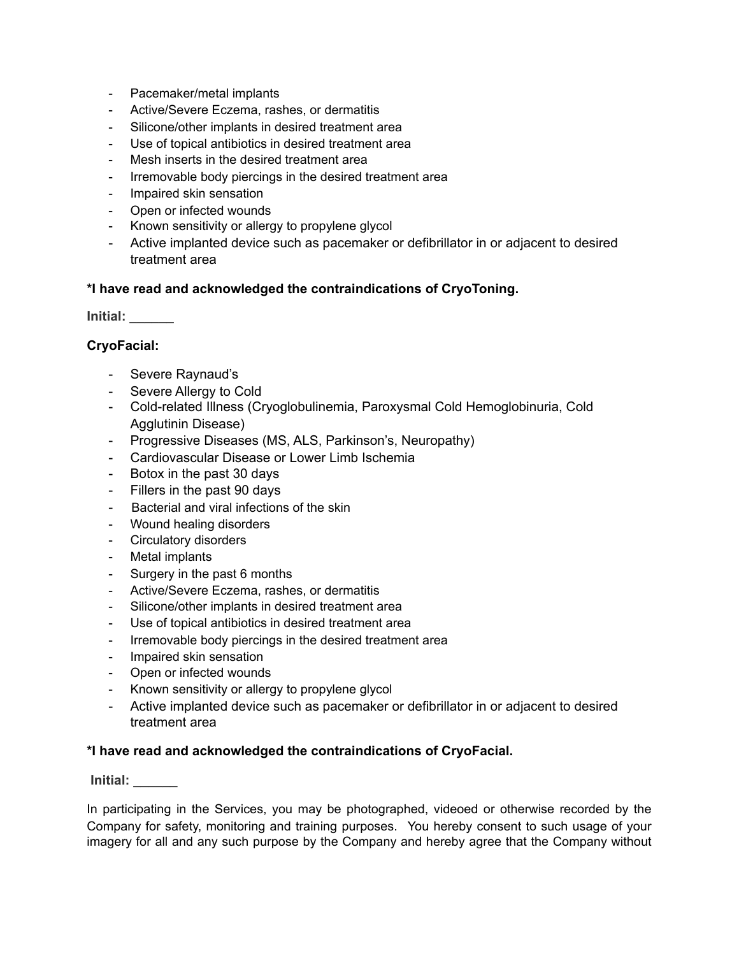- Pacemaker/metal implants
- Active/Severe Eczema, rashes, or dermatitis
- Silicone/other implants in desired treatment area
- Use of topical antibiotics in desired treatment area
- Mesh inserts in the desired treatment area
- Irremovable body piercings in the desired treatment area
- Impaired skin sensation
- Open or infected wounds
- Known sensitivity or allergy to propylene glycol
- Active implanted device such as pacemaker or defibrillator in or adjacent to desired treatment area

#### **\*I have read and acknowledged the contraindications of CryoToning.**

**Initial: \_\_\_\_\_\_** 

#### **CryoFacial:**

- Severe Raynaud's
- Severe Allergy to Cold
- Cold-related Illness (Cryoglobulinemia, Paroxysmal Cold Hemoglobinuria, Cold Agglutinin Disease)
- Progressive Diseases (MS, ALS, Parkinson's, Neuropathy)
- Cardiovascular Disease or Lower Limb Ischemia
- Botox in the past 30 days
- Fillers in the past 90 days
- Bacterial and viral infections of the skin
- Wound healing disorders
- Circulatory disorders
- Metal implants
- Surgery in the past 6 months
- Active/Severe Eczema, rashes, or dermatitis
- Silicone/other implants in desired treatment area
- Use of topical antibiotics in desired treatment area
- Irremovable body piercings in the desired treatment area
- Impaired skin sensation
- Open or infected wounds
- Known sensitivity or allergy to propylene glycol
- Active implanted device such as pacemaker or defibrillator in or adjacent to desired treatment area

#### **\*I have read and acknowledged the contraindications of CryoFacial.**

 **Initial: \_\_\_\_\_\_** 

In participating in the Services, you may be photographed, videoed or otherwise recorded by the Company for safety, monitoring and training purposes. You hereby consent to such usage of your imagery for all and any such purpose by the Company and hereby agree that the Company without